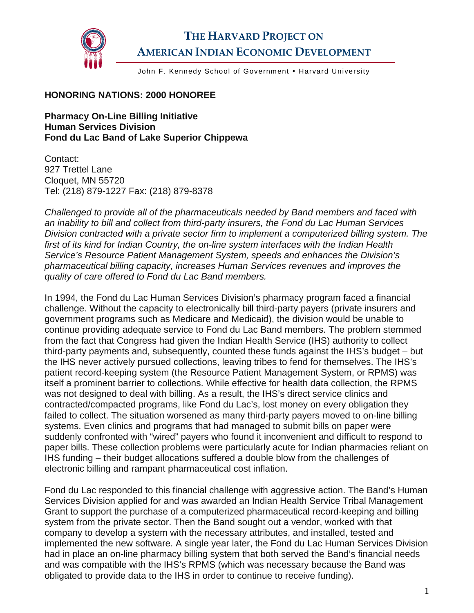

## **THE HARVARD PROJECT ON AMERICAN INDIAN ECONOMIC DEVELOPMENT**

John F. Kennedy School of Government . Harvard University

## **HONORING NATIONS: 2000 HONOREE**

**Pharmacy On-Line Billing Initiative Human Services Division Fond du Lac Band of Lake Superior Chippewa** 

Contact: 927 Trettel Lane Cloquet, MN 55720 Tel: (218) 879-1227 Fax: (218) 879-8378

*Challenged to provide all of the pharmaceuticals needed by Band members and faced with an inability to bill and collect from third-party insurers, the Fond du Lac Human Services Division contracted with a private sector firm to implement a computerized billing system. The first of its kind for Indian Country, the on-line system interfaces with the Indian Health Service's Resource Patient Management System, speeds and enhances the Division's pharmaceutical billing capacity, increases Human Services revenues and improves the quality of care offered to Fond du Lac Band members.* 

In 1994, the Fond du Lac Human Services Division's pharmacy program faced a financial challenge. Without the capacity to electronically bill third-party payers (private insurers and government programs such as Medicare and Medicaid), the division would be unable to continue providing adequate service to Fond du Lac Band members. The problem stemmed from the fact that Congress had given the Indian Health Service (IHS) authority to collect third-party payments and, subsequently, counted these funds against the IHS's budget – but the IHS never actively pursued collections, leaving tribes to fend for themselves. The IHS's patient record-keeping system (the Resource Patient Management System, or RPMS) was itself a prominent barrier to collections. While effective for health data collection, the RPMS was not designed to deal with billing. As a result, the IHS's direct service clinics and contracted/compacted programs, like Fond du Lac's, lost money on every obligation they failed to collect. The situation worsened as many third-party payers moved to on-line billing systems. Even clinics and programs that had managed to submit bills on paper were suddenly confronted with "wired" payers who found it inconvenient and difficult to respond to paper bills. These collection problems were particularly acute for Indian pharmacies reliant on IHS funding – their budget allocations suffered a double blow from the challenges of electronic billing and rampant pharmaceutical cost inflation.

Fond du Lac responded to this financial challenge with aggressive action. The Band's Human Services Division applied for and was awarded an Indian Health Service Tribal Management Grant to support the purchase of a computerized pharmaceutical record-keeping and billing system from the private sector. Then the Band sought out a vendor, worked with that company to develop a system with the necessary attributes, and installed, tested and implemented the new software. A single year later, the Fond du Lac Human Services Division had in place an on-line pharmacy billing system that both served the Band's financial needs and was compatible with the IHS's RPMS (which was necessary because the Band was obligated to provide data to the IHS in order to continue to receive funding).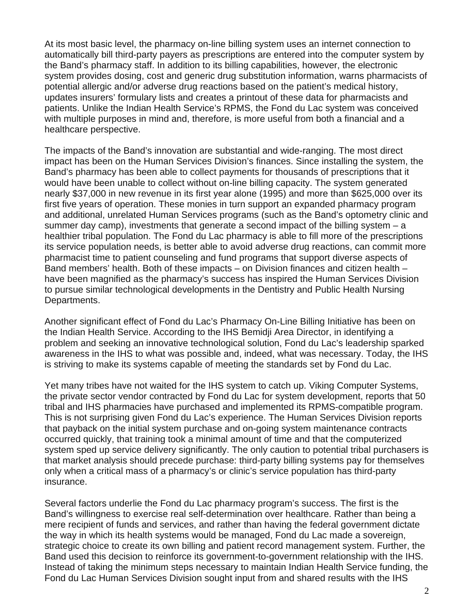At its most basic level, the pharmacy on-line billing system uses an internet connection to automatically bill third-party payers as prescriptions are entered into the computer system by the Band's pharmacy staff. In addition to its billing capabilities, however, the electronic system provides dosing, cost and generic drug substitution information, warns pharmacists of potential allergic and/or adverse drug reactions based on the patient's medical history, updates insurers' formulary lists and creates a printout of these data for pharmacists and patients. Unlike the Indian Health Service's RPMS, the Fond du Lac system was conceived with multiple purposes in mind and, therefore, is more useful from both a financial and a healthcare perspective.

The impacts of the Band's innovation are substantial and wide-ranging. The most direct impact has been on the Human Services Division's finances. Since installing the system, the Band's pharmacy has been able to collect payments for thousands of prescriptions that it would have been unable to collect without on-line billing capacity. The system generated nearly \$37,000 in new revenue in its first year alone (1995) and more than \$625,000 over its first five years of operation. These monies in turn support an expanded pharmacy program and additional, unrelated Human Services programs (such as the Band's optometry clinic and summer day camp), investments that generate a second impact of the billing system – a healthier tribal population. The Fond du Lac pharmacy is able to fill more of the prescriptions its service population needs, is better able to avoid adverse drug reactions, can commit more pharmacist time to patient counseling and fund programs that support diverse aspects of Band members' health. Both of these impacts – on Division finances and citizen health – have been magnified as the pharmacy's success has inspired the Human Services Division to pursue similar technological developments in the Dentistry and Public Health Nursing Departments.

Another significant effect of Fond du Lac's Pharmacy On-Line Billing Initiative has been on the Indian Health Service. According to the IHS Bemidji Area Director, in identifying a problem and seeking an innovative technological solution, Fond du Lac's leadership sparked awareness in the IHS to what was possible and, indeed, what was necessary. Today, the IHS is striving to make its systems capable of meeting the standards set by Fond du Lac.

Yet many tribes have not waited for the IHS system to catch up. Viking Computer Systems, the private sector vendor contracted by Fond du Lac for system development, reports that 50 tribal and IHS pharmacies have purchased and implemented its RPMS-compatible program. This is not surprising given Fond du Lac's experience. The Human Services Division reports that payback on the initial system purchase and on-going system maintenance contracts occurred quickly, that training took a minimal amount of time and that the computerized system sped up service delivery significantly. The only caution to potential tribal purchasers is that market analysis should precede purchase: third-party billing systems pay for themselves only when a critical mass of a pharmacy's or clinic's service population has third-party insurance.

Several factors underlie the Fond du Lac pharmacy program's success. The first is the Band's willingness to exercise real self-determination over healthcare. Rather than being a mere recipient of funds and services, and rather than having the federal government dictate the way in which its health systems would be managed, Fond du Lac made a sovereign, strategic choice to create its own billing and patient record management system. Further, the Band used this decision to reinforce its government-to-government relationship with the IHS. Instead of taking the minimum steps necessary to maintain Indian Health Service funding, the Fond du Lac Human Services Division sought input from and shared results with the IHS